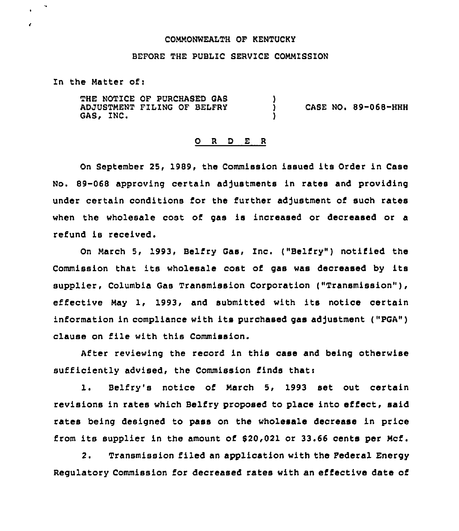### CONNONNEALTH OF KENTUCKY

## BEFORE THE PUBLZC SERVICE COMMISSION

In the Matter of:

 $\epsilon$ 

THE NOTICE OF PURCHASED GAS ADJUSTMENT FILING OF BELFRY GAS, INC. )<br>) ) CASE NO. 89-068-HHH )

#### ORDER

On September 25, 1989, the Commission issued its Order in Case No. 89-068 approving certain adjustments in rates and providing under certain conditions for the further adjustment of such rates when the wholesale cost of gas is increased or decreased or a refund is received.

On March 5, 1993, Belfry Gas, Inc. ("Belfry") notified the Commission that its wholesale cost of gas was decreased by its supplier, Columbia Gas Transmission Corporation ("Transmission" ), effective Nay 1, 1993, and submitted with its notice certain information in compliance with its purchased gas adjustment ("PGA") clause on file with this Commission.

After reviewing the record in this case and being otherwise sufficiently advised, the Commission finds thati

i. Belfry's notice of March 5, <sup>1993</sup> set out certain revisions in rates which Belfry proposed to place into effect, said rates being designed to pass on the wholesale decrease in price from its supplier in the amount of \$20,021 or 33.66 cents per Hcf.

2. Transmission filed an application with the Pederal Energy Regulatory Commission for decreased rates with an effective date of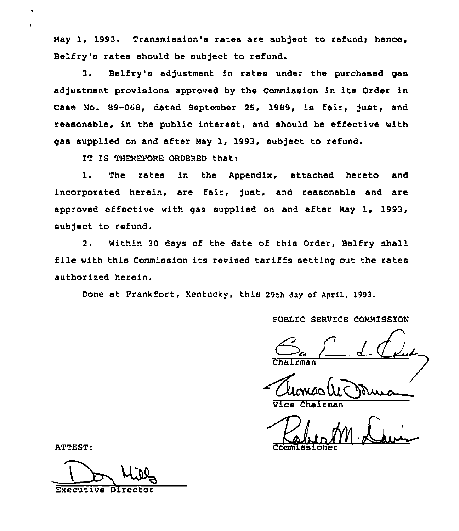May 1, 1993, Transmission's rates are subject to refund; hence, Belfry's rates should be subject to refund.

3. Belfry's adjustment in rates under the purchased gas adjustment provisions approved by the Commission in its Order in Case No. 89-068, dated September 25, 1989, is fair, just, and reasonable, in the public interest, and should be effective with gas supplied on and after May 1, 1993, subject to refund.

IT IS THEREFORE ORDERED that:

1. The rates in the Appendix, attached hereto and incorporated herein, are tair, just, and reasonable and are approved effective with gas supplied on and after Nay 1, 1993, subject to refund.

2. Within 30 days of the date of this Order, Belfry shall file with this Commission its revised tariffs setting out the rates authorized herein.

Done at Frankfort, Kentucky, this 29th day of April, 1993.

PUBLIC SERVICE COMMISSION

**Chairma** 

Vice Chairman

ATTEST:

Executive Director